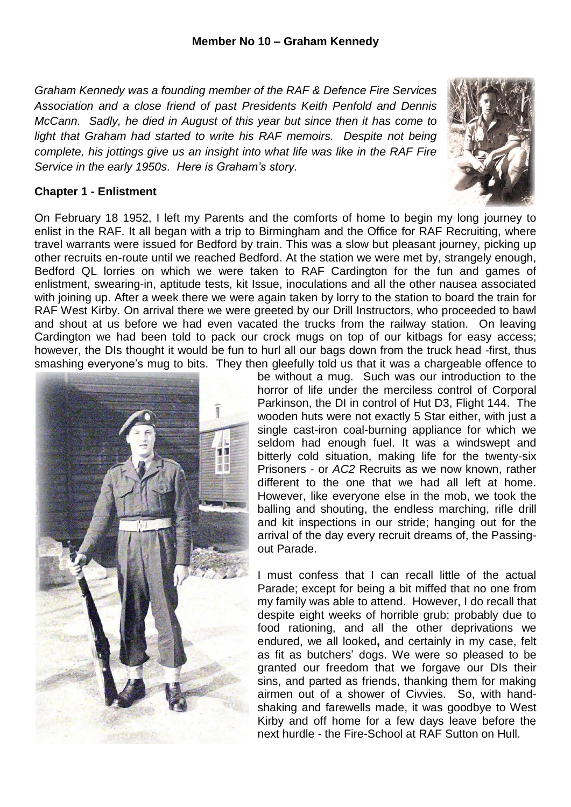*Graham Kennedy was a founding member of the RAF & Defence Fire Services Association and a close friend of past Presidents Keith Penfold and Dennis McCann. Sadly, he died in August of this year but since then it has come to light that Graham had started to write his RAF memoirs. Despite not being complete, his jottings give us an insight into what life was like in the RAF Fire Service in the early 1950s. Here is Graham's story.*



## **Chapter 1 - Enlistment**

On February 18 1952, I left my Parents and the comforts of home to begin my long journey to enlist in the RAF. It all began with a trip to Birmingham and the Office for RAF Recruiting, where travel warrants were issued for Bedford by train. This was a slow but pleasant journey, picking up other recruits en-route until we reached Bedford. At the station we were met by, strangely enough, Bedford QL lorries on which we were taken to RAF Cardington for the fun and games of enlistment, swearing-in, aptitude tests, kit Issue, inoculations and all the other nausea associated with joining up. After a week there we were again taken by lorry to the station to board the train for RAF West Kirby. On arrival there we were greeted by our Drill Instructors, who proceeded to bawl and shout at us before we had even vacated the trucks from the railway station. On leaving Cardington we had been told to pack our crock mugs on top of our kitbags for easy access; however, the DIs thought it would be fun to hurl all our bags down from the truck head -first, thus smashing everyone's mug to bits. They then gleefully told us that it was a chargeable offence to



be without a mug. Such was our introduction to the horror of life under the merciless control of Corporal Parkinson, the DI in control of Hut D3, Flight 144. The wooden huts were not exactly 5 Star either, with just a single cast-iron coal-burning appliance for which we seldom had enough fuel. It was a windswept and bitterly cold situation, making life for the twenty-six Prisoners - or *AC2* Recruits as we now known, rather different to the one that we had all left at home. However, like everyone else in the mob, we took the balling and shouting, the endless marching, rifle drill and kit inspections in our stride; hanging out for the arrival of the day every recruit dreams of, the Passingout Parade.

I must confess that I can recall little of the actual Parade; except for being a bit miffed that no one from my family was able to attend. However, I do recall that despite eight weeks of horrible grub; probably due to food rationing, and all the other deprivations we endured, we all looked**,** and certainly in my case, felt as fit as butchers' dogs. We were so pleased to be granted our freedom that we forgave our DIs their sins, and parted as friends, thanking them for making airmen out of a shower of Civvies. So, with handshaking and farewells made, it was goodbye to West Kirby and off home for a few days leave before the next hurdle - the Fire-School at RAF Sutton on Hull.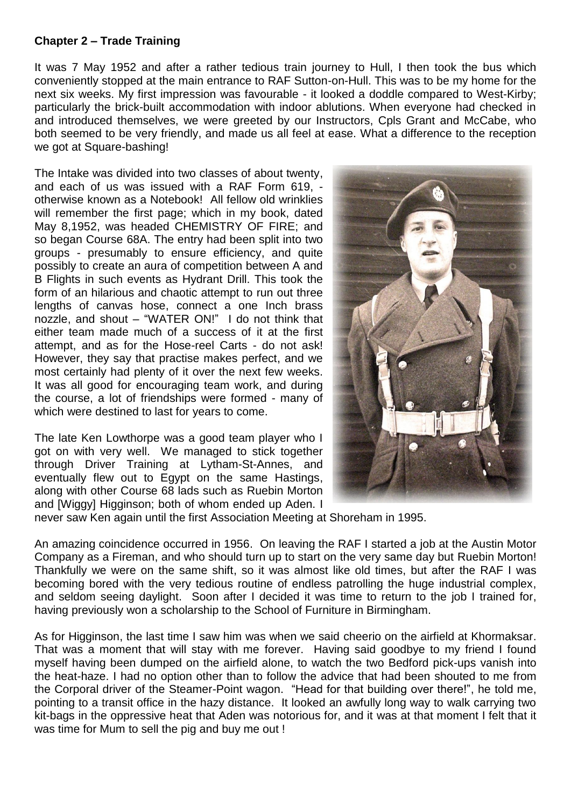## **Chapter 2 – Trade Training**

It was 7 May 1952 and after a rather tedious train journey to Hull, I then took the bus which conveniently stopped at the main entrance to RAF Sutton-on-Hull. This was to be my home for the next six weeks. My first impression was favourable - it looked a doddle compared to West-Kirby; particularly the brick-built accommodation with indoor ablutions. When everyone had checked in and introduced themselves, we were greeted by our Instructors, Cpls Grant and McCabe, who both seemed to be very friendly, and made us all feel at ease. What a difference to the reception we got at Square-bashing!

The Intake was divided into two classes of about twenty, and each of us was issued with a RAF Form 619, otherwise known as a Notebook! All fellow old wrinklies will remember the first page; which in my book, dated May 8,1952, was headed CHEMISTRY OF FIRE; and so began Course 68A. The entry had been split into two groups - presumably to ensure efficiency, and quite possibly to create an aura of competition between A and B Flights in such events as Hydrant Drill. This took the form of an hilarious and chaotic attempt to run out three lengths of canvas hose, connect a one Inch brass nozzle, and shout – "WATER ON!" I do not think that either team made much of a success of it at the first attempt, and as for the Hose-reel Carts - do not ask! However, they say that practise makes perfect, and we most certainly had plenty of it over the next few weeks. It was all good for encouraging team work, and during the course, a lot of friendships were formed - many of which were destined to last for years to come.

The late Ken Lowthorpe was a good team player who I got on with very well. We managed to stick together through Driver Training at Lytham-St-Annes, and eventually flew out to Egypt on the same Hastings. along with other Course 68 lads such as Ruebin Morton and [Wiggy] Higginson; both of whom ended up Aden. I



never saw Ken again until the first Association Meeting at Shoreham in 1995.

An amazing coincidence occurred in 1956. On leaving the RAF I started a job at the Austin Motor Company as a Fireman, and who should turn up to start on the very same day but Ruebin Morton! Thankfully we were on the same shift, so it was almost like old times, but after the RAF I was becoming bored with the very tedious routine of endless patrolling the huge industrial complex, and seldom seeing daylight. Soon after I decided it was time to return to the job I trained for, having previously won a scholarship to the School of Furniture in Birmingham.

As for Higginson, the last time I saw him was when we said cheerio on the airfield at Khormaksar. That was a moment that will stay with me forever. Having said goodbye to my friend I found myself having been dumped on the airfield alone, to watch the two Bedford pick-ups vanish into the heat-haze. I had no option other than to follow the advice that had been shouted to me from the Corporal driver of the Steamer-Point wagon. "Head for that building over there!", he told me, pointing to a transit office in the hazy distance. It looked an awfully long way to walk carrying two kit-bags in the oppressive heat that Aden was notorious for, and it was at that moment I felt that it was time for Mum to sell the pig and buy me out !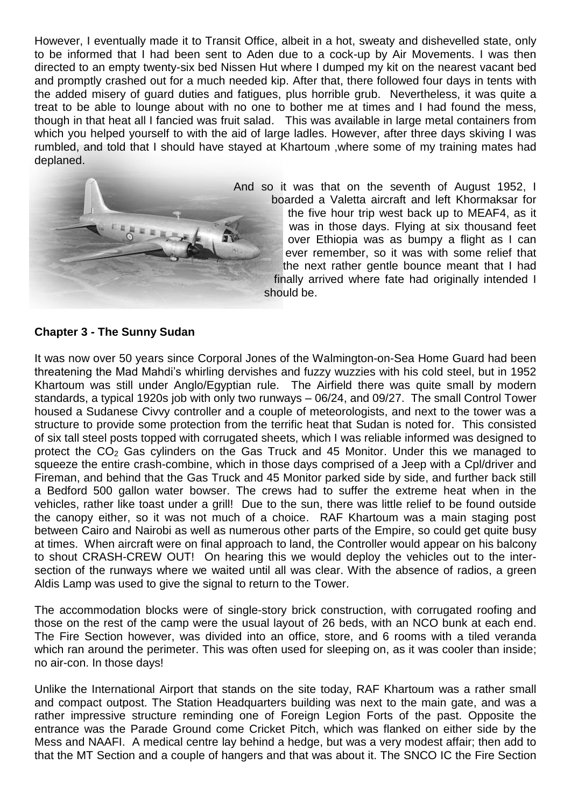However, I eventually made it to Transit Office, albeit in a hot, sweaty and dishevelled state, only to be informed that I had been sent to Aden due to a cock-up by Air Movements. I was then directed to an empty twenty-six bed Nissen Hut where I dumped my kit on the nearest vacant bed and promptly crashed out for a much needed kip. After that, there followed four days in tents with the added misery of guard duties and fatigues, plus horrible grub. Nevertheless, it was quite a treat to be able to lounge about with no one to bother me at times and I had found the mess, though in that heat all I fancied was fruit salad. This was available in large metal containers from which you helped yourself to with the aid of large ladles. However, after three days skiving I was rumbled, and told that I should have stayed at Khartoum ,where some of my training mates had deplaned.



And so it was that on the seventh of August 1952, I boarded a Valetta aircraft and left Khormaksar for the five hour trip west back up to MEAF4, as it was in those days. Flying at six thousand feet over Ethiopia was as bumpy a flight as I can ever remember, so it was with some relief that the next rather gentle bounce meant that I had finally arrived where fate had originally intended I should be.

## **Chapter 3 - The Sunny Sudan**

It was now over 50 years since Corporal Jones of the Walmington-on-Sea Home Guard had been threatening the Mad Mahdi's whirling dervishes and fuzzy wuzzies with his cold steel, but in 1952 Khartoum was still under Anglo/Egyptian rule. The Airfield there was quite small by modern standards, a typical 1920s job with only two runways – 06/24, and 09/27. The small Control Tower housed a Sudanese Civvy controller and a couple of meteorologists, and next to the tower was a structure to provide some protection from the terrific heat that Sudan is noted for. This consisted of six tall steel posts topped with corrugated sheets, which I was reliable informed was designed to protect the  $CO<sub>2</sub>$  Gas cylinders on the Gas Truck and 45 Monitor. Under this we managed to squeeze the entire crash-combine, which in those days comprised of a Jeep with a Cpl/driver and Fireman, and behind that the Gas Truck and 45 Monitor parked side by side, and further back still a Bedford 500 gallon water bowser. The crews had to suffer the extreme heat when in the vehicles, rather like toast under a grill! Due to the sun, there was little relief to be found outside the canopy either, so it was not much of a choice. RAF Khartoum was a main staging post between Cairo and Nairobi as well as numerous other parts of the Empire, so could get quite busy at times. When aircraft were on final approach to land, the Controller would appear on his balcony to shout CRASH-CREW OUT! On hearing this we would deploy the vehicles out to the intersection of the runways where we waited until all was clear. With the absence of radios, a green Aldis Lamp was used to give the signal to return to the Tower.

The accommodation blocks were of single-story brick construction, with corrugated roofing and those on the rest of the camp were the usual layout of 26 beds, with an NCO bunk at each end. The Fire Section however, was divided into an office, store, and 6 rooms with a tiled veranda which ran around the perimeter. This was often used for sleeping on, as it was cooler than inside; no air-con. In those days!

Unlike the International Airport that stands on the site today, RAF Khartoum was a rather small and compact outpost. The Station Headquarters building was next to the main gate, and was a rather impressive structure reminding one of Foreign Legion Forts of the past. Opposite the entrance was the Parade Ground come Cricket Pitch, which was flanked on either side by the Mess and NAAFI. A medical centre lay behind a hedge, but was a very modest affair; then add to that the MT Section and a couple of hangers and that was about it. The SNCO IC the Fire Section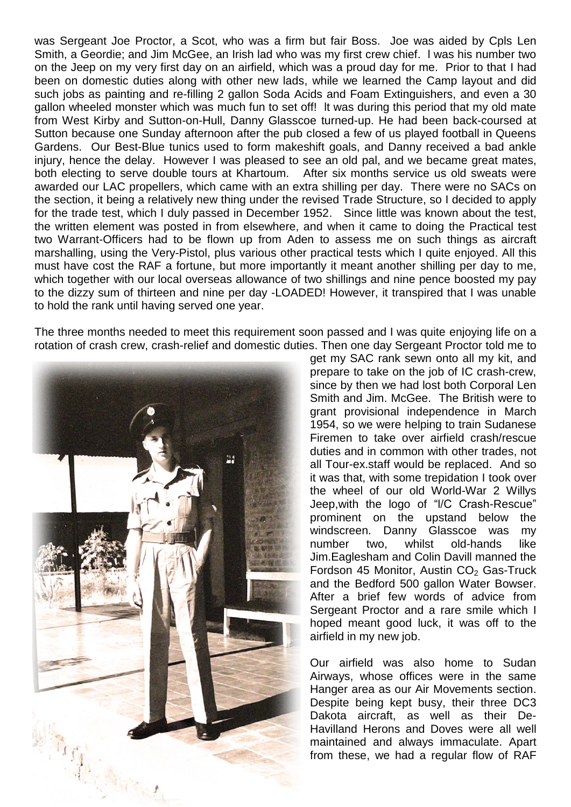was Sergeant Joe Proctor, a Scot, who was a firm but fair Boss. Joe was aided by Cpls Len Smith, a Geordie; and Jim McGee, an Irish lad who was my first crew chief. l was his number two on the Jeep on my very first day on an airfield, which was a proud day for me. Prior to that I had been on domestic duties along with other new lads, while we learned the Camp layout and did such jobs as painting and re-filling 2 gallon Soda Acids and Foam Extinguishers, and even a 30 gallon wheeled monster which was much fun to set off! lt was during this period that my old mate from West Kirby and Sutton-on-Hull, Danny Glasscoe turned-up. He had been back-coursed at Sutton because one Sunday afternoon after the pub closed a few of us played football in Queens Gardens. Our Best-Blue tunics used to form makeshift goals, and Danny received a bad ankle injury, hence the delay. However I was pleased to see an old pal, and we became great mates, both electing to serve double tours at Khartoum. After six months service us old sweats were awarded our LAC propellers, which came with an extra shilling per day. There were no SACs on the section, it being a relatively new thing under the revised Trade Structure, so I decided to apply for the trade test, which I duly passed in December 1952. Since little was known about the test, the written element was posted in from elsewhere, and when it came to doing the Practical test two Warrant-Officers had to be flown up from Aden to assess me on such things as aircraft marshalling, using the Very-Pistol, plus various other practical tests which I quite enjoyed. All this must have cost the RAF a fortune, but more importantly it meant another shilling per day to me, which together with our local overseas allowance of two shillings and nine pence boosted my pay to the dizzy sum of thirteen and nine per day -LOADED! However, it transpired that I was unable to hold the rank until having served one year.

The three months needed to meet this requirement soon passed and I was quite enjoying life on a rotation of crash crew, crash-relief and domestic duties. Then one day Sergeant Proctor told me to



get my SAC rank sewn onto all my kit, and prepare to take on the job of IC crash-crew, since by then we had lost both Corporal Len Smith and Jim. McGee. The British were to grant provisional independence in March 1954, so we were helping to train Sudanese Firemen to take over airfield crash/rescue duties and in common with other trades, not all Tour-ex.staff would be replaced. And so it was that, with some trepidation I took over the wheel of our old World-War 2 Willys Jeep,with the logo of "l/C Crash-Rescue" prominent on the upstand below the windscreen. Danny Glasscoe was my number two, whilst old-hands like Jim.Eaglesham and Colin Davill manned the Fordson 45 Monitor, Austin  $CO<sub>2</sub>$  Gas-Truck and the Bedford 500 gallon Water Bowser. After a brief few words of advice from Sergeant Proctor and a rare smile which I hoped meant good luck, it was off to the airfield in my new job.

Our airfield was also home to Sudan Airways, whose offices were in the same Hanger area as our Air Movements section. Despite being kept busy, their three DC3 Dakota aircraft, as well as their De-Havilland Herons and Doves were all well maintained and always immaculate. Apart from these, we had a regular flow of RAF